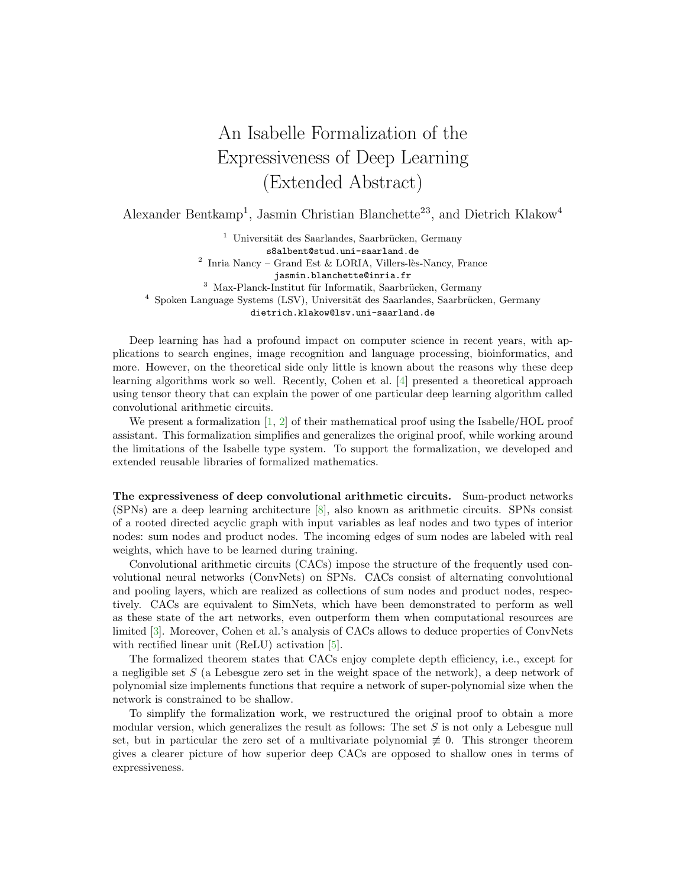## An Isabelle Formalization of the Expressiveness of Deep Learning (Extended Abstract)

Alexander Bentkamp<sup>1</sup>, Jasmin Christian Blanchette<sup>23</sup>, and Dietrich Klakow<sup>4</sup>

 $1$  Universität des Saarlandes, Saarbrücken, Germany s8albent@stud.uni-saarland.de <sup>2</sup> Inria Nancy – Grand Est & LORIA, Villers-lès-Nancy, France jasmin.blanchette@inria.fr  $3$  Max-Planck-Institut für Informatik, Saarbrücken, Germany  $4$  Spoken Language Systems (LSV), Universität des Saarlandes, Saarbrücken, Germany dietrich.klakow@lsv.uni-saarland.de

Deep learning has had a profound impact on computer science in recent years, with applications to search engines, image recognition and language processing, bioinformatics, and more. However, on the theoretical side only little is known about the reasons why these deep learning algorithms work so well. Recently, Cohen et al. [\[4\]](#page-1-0) presented a theoretical approach using tensor theory that can explain the power of one particular deep learning algorithm called convolutional arithmetic circuits.

We present a formalization  $[1, 2]$  $[1, 2]$  $[1, 2]$  of their mathematical proof using the Isabelle/HOL proof assistant. This formalization simplifies and generalizes the original proof, while working around the limitations of the Isabelle type system. To support the formalization, we developed and extended reusable libraries of formalized mathematics.

The expressiveness of deep convolutional arithmetic circuits. Sum-product networks (SPNs) are a deep learning architecture [\[8\]](#page-1-3), also known as arithmetic circuits. SPNs consist of a rooted directed acyclic graph with input variables as leaf nodes and two types of interior nodes: sum nodes and product nodes. The incoming edges of sum nodes are labeled with real weights, which have to be learned during training.

Convolutional arithmetic circuits (CACs) impose the structure of the frequently used convolutional neural networks (ConvNets) on SPNs. CACs consist of alternating convolutional and pooling layers, which are realized as collections of sum nodes and product nodes, respectively. CACs are equivalent to SimNets, which have been demonstrated to perform as well as these state of the art networks, even outperform them when computational resources are limited [\[3\]](#page-1-4). Moreover, Cohen et al.'s analysis of CACs allows to deduce properties of ConvNets with rectified linear unit (ReLU) activation [\[5\]](#page-1-5).

The formalized theorem states that CACs enjoy complete depth efficiency, i.e., except for a negligible set  $S$  (a Lebesgue zero set in the weight space of the network), a deep network of polynomial size implements functions that require a network of super-polynomial size when the network is constrained to be shallow.

To simplify the formalization work, we restructured the original proof to obtain a more modular version, which generalizes the result as follows: The set S is not only a Lebesgue null set, but in particular the zero set of a multivariate polynomial  $\neq 0$ . This stronger theorem gives a clearer picture of how superior deep CACs are opposed to shallow ones in terms of expressiveness.